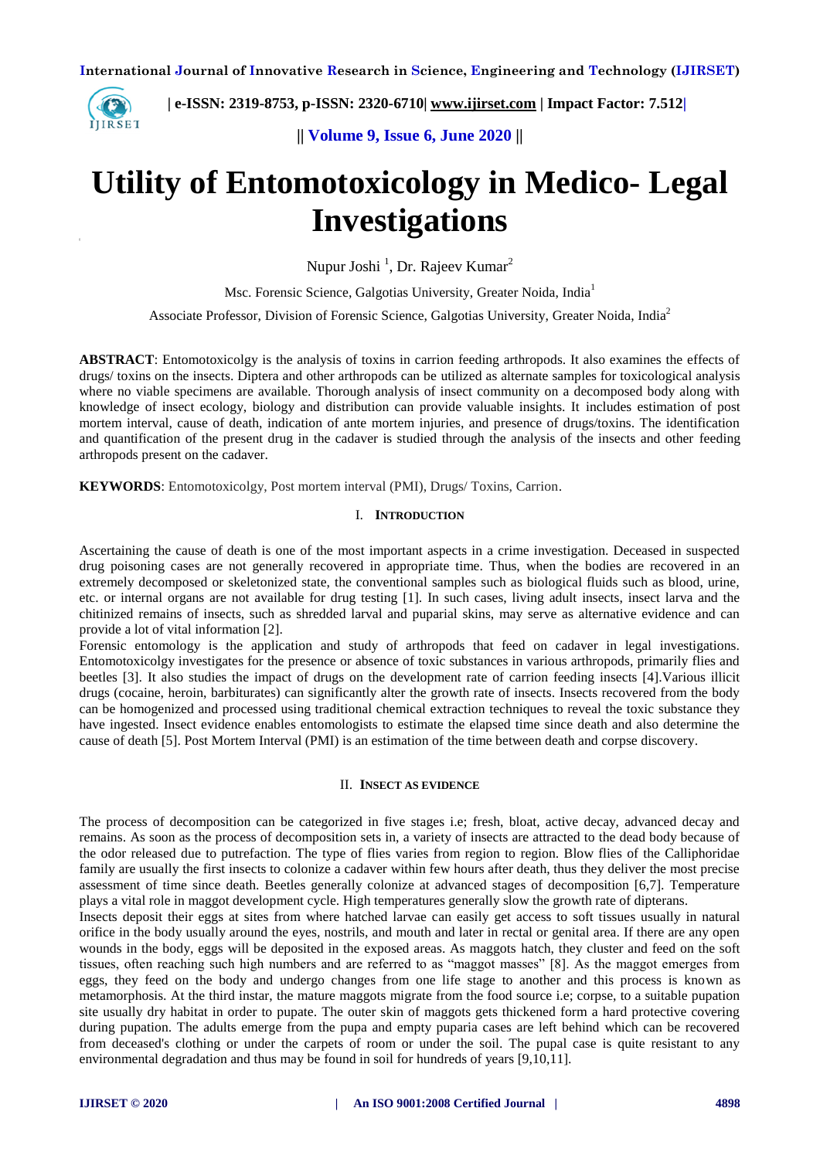

 **| e-ISSN: 2319-8753, p-ISSN: 2320-6710| [www.ijirset.com](http://www.ijirset.com/) | Impact Factor: 7.512|**

**|| Volume 9, Issue 6, June 2020 ||** 

# **Utility of Entomotoxicology in Medico- Legal Investigations**

Nupur Joshi<sup>1</sup>, Dr. Rajeev Kumar<sup>2</sup>

Msc. Forensic Science, Galgotias University, Greater Noida, India<sup>1</sup>

Associate Professor, Division of Forensic Science, Galgotias University, Greater Noida, India<sup>2</sup>

**ABSTRACT**: Entomotoxicolgy is the analysis of toxins in carrion feeding arthropods. It also examines the effects of drugs/ toxins on the insects. Diptera and other arthropods can be utilized as alternate samples for toxicological analysis where no viable specimens are available. Thorough analysis of insect community on a decomposed body along with knowledge of insect ecology, biology and distribution can provide valuable insights. It includes estimation of post mortem interval, cause of death, indication of ante mortem injuries, and presence of drugs/toxins. The identification and quantification of the present drug in the cadaver is studied through the analysis of the insects and other feeding arthropods present on the cadaver.

**KEYWORDS**: Entomotoxicolgy, Post mortem interval (PMI), Drugs/ Toxins, Carrion.

### I. **INTRODUCTION**

Ascertaining the cause of death is one of the most important aspects in a crime investigation. Deceased in suspected drug poisoning cases are not generally recovered in appropriate time. Thus, when the bodies are recovered in an extremely decomposed or skeletonized state, the conventional samples such as biological fluids such as blood, urine, etc. or internal organs are not available for drug testing [1]. In such cases, living adult insects, insect larva and the chitinized remains of insects, such as shredded larval and puparial skins, may serve as alternative evidence and can provide a lot of vital information [2].

Forensic entomology is the application and study of arthropods that feed on cadaver in legal investigations. Entomotoxicolgy investigates for the presence or absence of toxic substances in various arthropods, primarily flies and beetles [3]. It also studies the impact of drugs on the development rate of carrion feeding insects [4].Various illicit drugs (cocaine, heroin, barbiturates) can significantly alter the growth rate of insects. Insects recovered from the body can be homogenized and processed using traditional chemical extraction techniques to reveal the toxic substance they have ingested. Insect evidence enables entomologists to estimate the elapsed time since death and also determine the cause of death [5]. Post Mortem Interval (PMI) is an estimation of the time between death and corpse discovery.

#### II. **INSECT AS EVIDENCE**

The process of decomposition can be categorized in five stages i.e; fresh, bloat, active decay, advanced decay and remains. As soon as the process of decomposition sets in, a variety of insects are attracted to the dead body because of the odor released due to putrefaction. The type of flies varies from region to region. Blow flies of the Calliphoridae family are usually the first insects to colonize a cadaver within few hours after death, thus they deliver the most precise assessment of time since death. Beetles generally colonize at advanced stages of decomposition [6,7]. Temperature plays a vital role in maggot development cycle. High temperatures generally slow the growth rate of dipterans.

Insects deposit their eggs at sites from where hatched larvae can easily get access to soft tissues usually in natural orifice in the body usually around the eyes, nostrils, and mouth and later in rectal or genital area. If there are any open wounds in the body, eggs will be deposited in the exposed areas. As maggots hatch, they cluster and feed on the soft tissues, often reaching such high numbers and are referred to as "maggot masses" [8]. As the maggot emerges from eggs, they feed on the body and undergo changes from one life stage to another and this process is known as metamorphosis. At the third instar, the mature maggots migrate from the food source i.e; corpse, to a suitable pupation site usually dry habitat in order to pupate. The outer skin of maggots gets thickened form a hard protective covering during pupation. The adults emerge from the pupa and empty puparia cases are left behind which can be recovered from deceased's clothing or under the carpets of room or under the soil. The pupal case is quite resistant to any environmental degradation and thus may be found in soil for hundreds of years [9,10,11].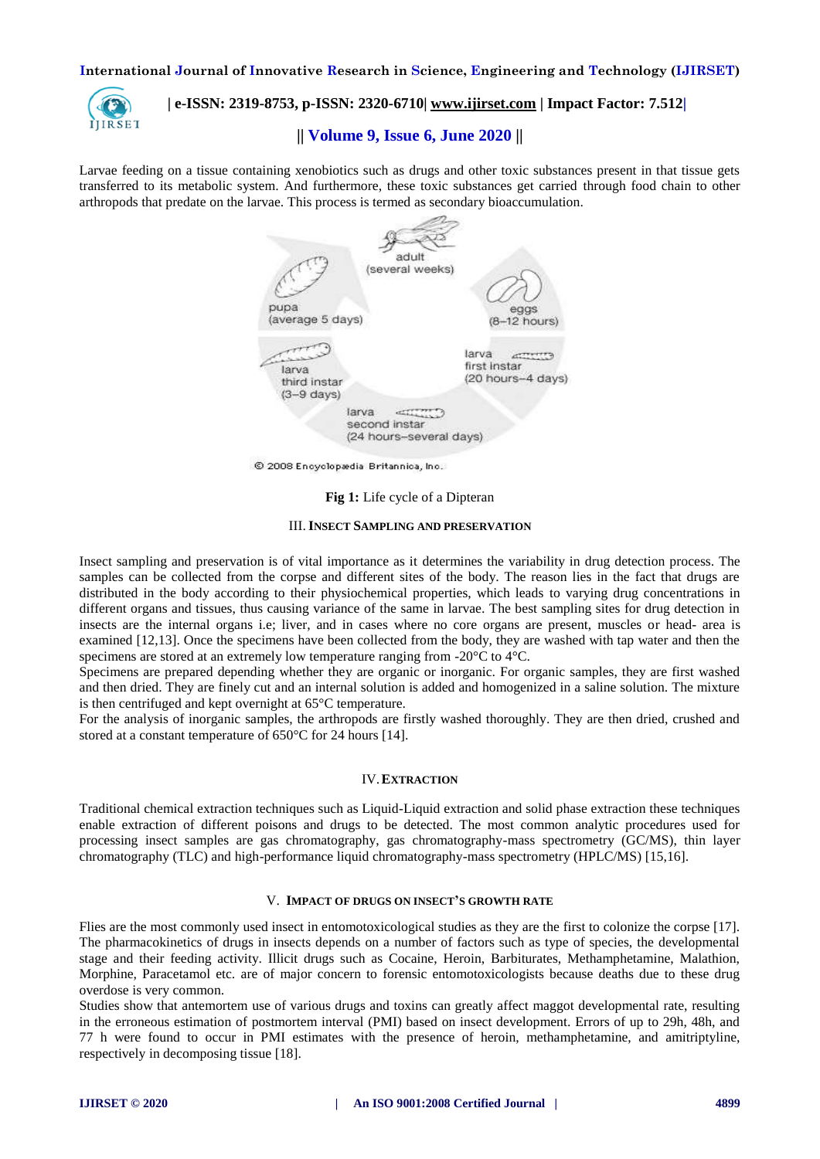

## **| e-ISSN: 2319-8753, p-ISSN: 2320-6710| [www.ijirset.com](http://www.ijirset.com/) | Impact Factor: 7.512|**

## **|| Volume 9, Issue 6, June 2020 ||**

Larvae feeding on a tissue containing xenobiotics such as drugs and other toxic substances present in that tissue gets transferred to its metabolic system. And furthermore, these toxic substances get carried through food chain to other arthropods that predate on the larvae. This process is termed as secondary bioaccumulation.



© 2008 Encyclopædia Britannica, Inc.

#### **Fig 1:** Life cycle of a Dipteran

#### III.**INSECT SAMPLING AND PRESERVATION**

Insect sampling and preservation is of vital importance as it determines the variability in drug detection process. The samples can be collected from the corpse and different sites of the body. The reason lies in the fact that drugs are distributed in the body according to their physiochemical properties, which leads to varying drug concentrations in different organs and tissues, thus causing variance of the same in larvae. The best sampling sites for drug detection in insects are the internal organs i.e; liver, and in cases where no core organs are present, muscles or head- area is examined [12,13]. Once the specimens have been collected from the body, they are washed with tap water and then the specimens are stored at an extremely low temperature ranging from  $-20^{\circ}$ C to  $4^{\circ}$ C.

Specimens are prepared depending whether they are organic or inorganic. For organic samples, they are first washed and then dried. They are finely cut and an internal solution is added and homogenized in a saline solution. The mixture is then centrifuged and kept overnight at 65°C temperature.

For the analysis of inorganic samples, the arthropods are firstly washed thoroughly. They are then dried, crushed and stored at a constant temperature of 650°C for 24 hours [14].

### IV.**EXTRACTION**

Traditional chemical extraction techniques such as Liquid-Liquid extraction and solid phase extraction these techniques enable extraction of different poisons and drugs to be detected. The most common analytic procedures used for processing insect samples are gas chromatography, gas chromatography-mass spectrometry (GC/MS), thin layer chromatography (TLC) and high-performance liquid chromatography-mass spectrometry (HPLC/MS) [15,16].

### V. **IMPACT OF DRUGS ON INSECT'S GROWTH RATE**

Flies are the most commonly used insect in entomotoxicological studies as they are the first to colonize the corpse [17]. The pharmacokinetics of drugs in insects depends on a number of factors such as type of species, the developmental stage and their feeding activity. Illicit drugs such as Cocaine, Heroin, Barbiturates, Methamphetamine, Malathion, Morphine, Paracetamol etc. are of major concern to forensic entomotoxicologists because deaths due to these drug overdose is very common.

Studies show that antemortem use of various drugs and toxins can greatly affect maggot developmental rate, resulting in the erroneous estimation of postmortem interval (PMI) based on insect development. Errors of up to 29h, 48h, and 77 h were found to occur in PMI estimates with the presence of heroin, methamphetamine, and amitriptyline, respectively in decomposing tissue [18].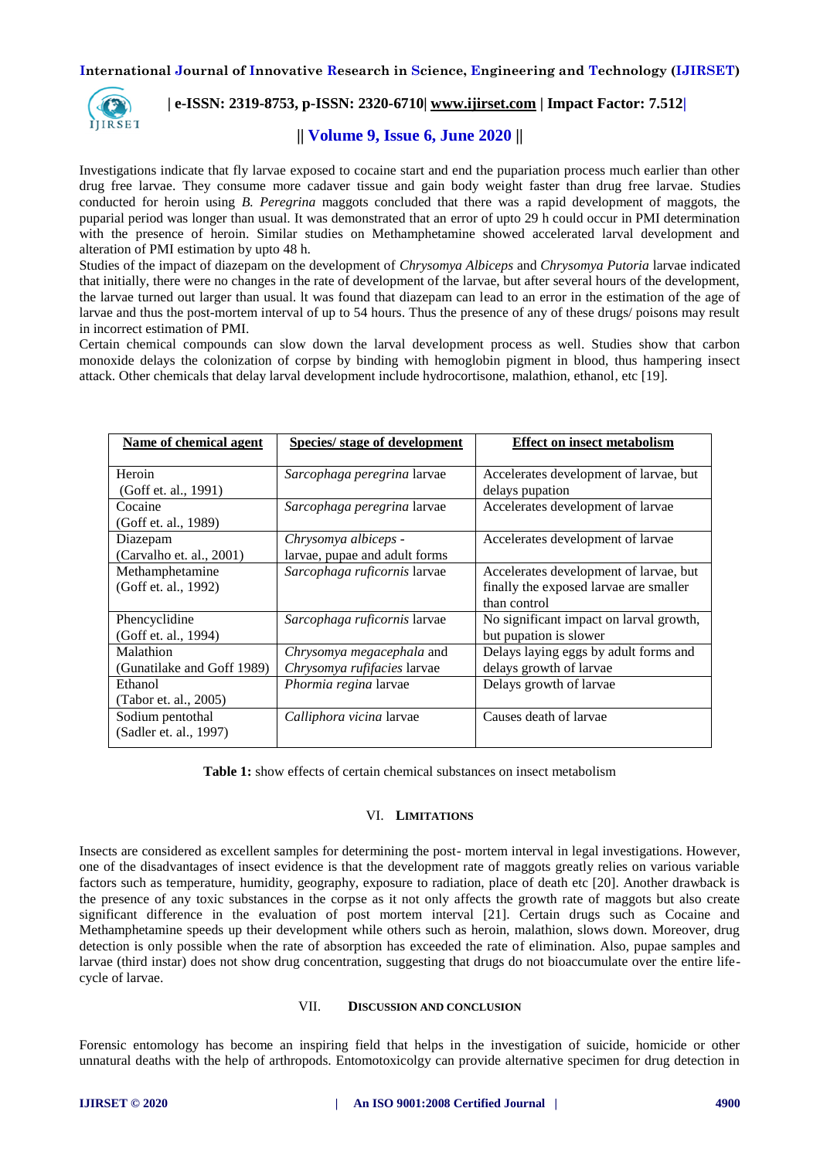

## **| e-ISSN: 2319-8753, p-ISSN: 2320-6710| [www.ijirset.com](http://www.ijirset.com/) | Impact Factor: 7.512|**

# **|| Volume 9, Issue 6, June 2020 ||**

Investigations indicate that fly larvae exposed to cocaine start and end the pupariation process much earlier than other drug free larvae. They consume more cadaver tissue and gain body weight faster than drug free larvae. Studies conducted for heroin using *B. Peregrina* maggots concluded that there was a rapid development of maggots, the puparial period was longer than usual. It was demonstrated that an error of upto 29 h could occur in PMI determination with the presence of heroin. Similar studies on Methamphetamine showed accelerated larval development and alteration of PMI estimation by upto 48 h.

Studies of the impact of diazepam on the development of *Chrysomya Albiceps* and *Chrysomya Putoria* larvae indicated that initially, there were no changes in the rate of development of the larvae, but after several hours of the development, the larvae turned out larger than usual. lt was found that diazepam can lead to an error in the estimation of the age of larvae and thus the post-mortem interval of up to 54 hours. Thus the presence of any of these drugs/ poisons may result in incorrect estimation of PMI.

Certain chemical compounds can slow down the larval development process as well. Studies show that carbon monoxide delays the colonization of corpse by binding with hemoglobin pigment in blood, thus hampering insect attack. Other chemicals that delay larval development include hydrocortisone, malathion, ethanol, etc [19].

| Name of chemical agent     | <b>Species/</b> stage of development | <b>Effect on insect metabolism</b>      |
|----------------------------|--------------------------------------|-----------------------------------------|
|                            |                                      |                                         |
| Heroin                     | Sarcophaga peregrina larvae          | Accelerates development of larvae, but  |
| (Goff et. al., 1991)       |                                      | delays pupation                         |
| Cocaine                    | Sarcophaga peregrina larvae          | Accelerates development of larvae       |
| (Goff et. al., 1989)       |                                      |                                         |
| Diazepam                   | Chrysomya albiceps -                 | Accelerates development of larvae       |
| (Carvalho et. al., 2001)   | larvae, pupae and adult forms        |                                         |
| Methamphetamine            | Sarcophaga ruficornis larvae         | Accelerates development of larvae, but  |
| (Goff et. al., 1992)       |                                      | finally the exposed larvae are smaller  |
|                            |                                      | than control                            |
| Phencyclidine              | Sarcophaga ruficornis larvae         | No significant impact on larval growth, |
| (Goff et. al., 1994)       |                                      | but pupation is slower                  |
| Malathion                  | Chrysomya megacephala and            | Delays laying eggs by adult forms and   |
| (Gunatilake and Goff 1989) | Chrysomya rufifacies larvae          | delays growth of larvae                 |
| Ethanol                    | Phormia regina larvae                | Delays growth of larvae                 |
| (Tabor et. al., 2005)      |                                      |                                         |
| Sodium pentothal           | Calliphora vicina larvae             | Causes death of larvae                  |
| (Sadler et. al., 1997)     |                                      |                                         |

**Table 1:** show effects of certain chemical substances on insect metabolism

### VI. **LIMITATIONS**

Insects are considered as excellent samples for determining the post- mortem interval in legal investigations. However, one of the disadvantages of insect evidence is that the development rate of maggots greatly relies on various variable factors such as temperature, humidity, geography, exposure to radiation, place of death etc [20]. Another drawback is the presence of any toxic substances in the corpse as it not only affects the growth rate of maggots but also create significant difference in the evaluation of post mortem interval [21]. Certain drugs such as Cocaine and Methamphetamine speeds up their development while others such as heroin, malathion, slows down. Moreover, drug detection is only possible when the rate of absorption has exceeded the rate of elimination. Also, pupae samples and larvae (third instar) does not show drug concentration, suggesting that drugs do not bioaccumulate over the entire lifecycle of larvae.

### VII. **DISCUSSION AND CONCLUSION**

Forensic entomology has become an inspiring field that helps in the investigation of suicide, homicide or other unnatural deaths with the help of arthropods. Entomotoxicolgy can provide alternative specimen for drug detection in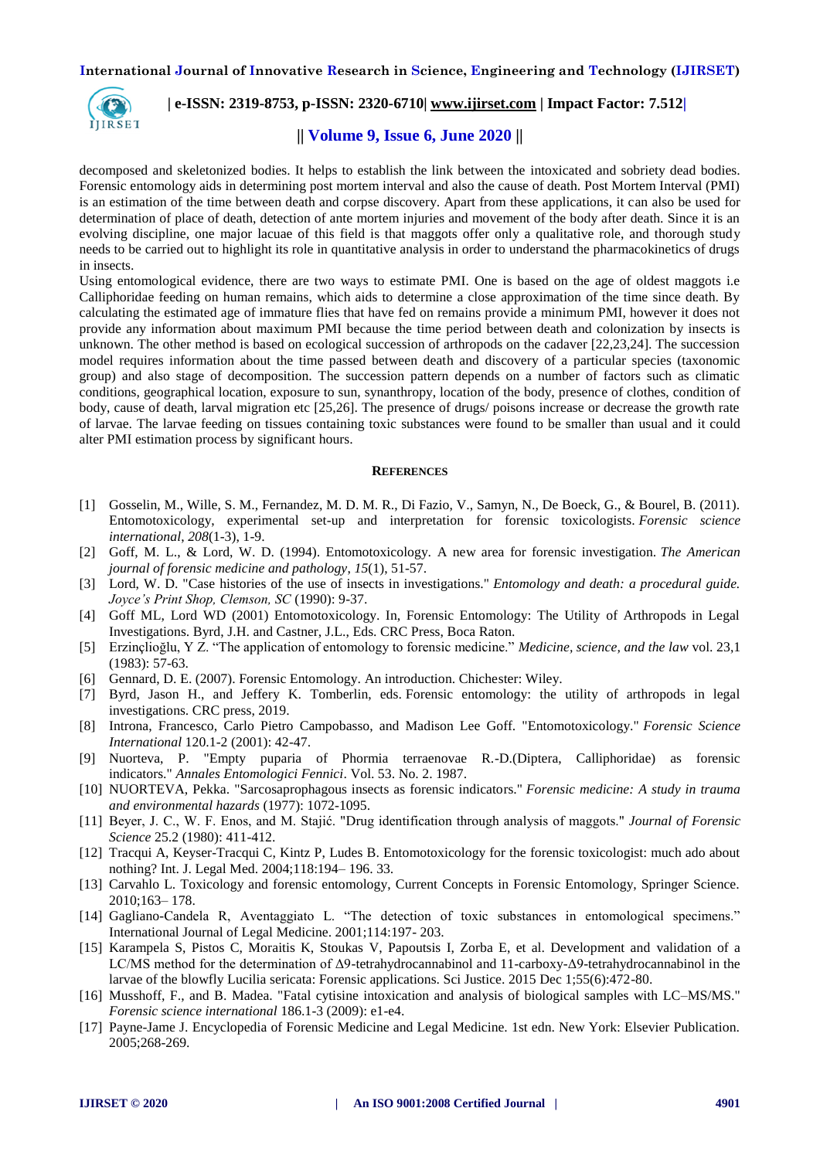

## **| e-ISSN: 2319-8753, p-ISSN: 2320-6710| [www.ijirset.com](http://www.ijirset.com/) | Impact Factor: 7.512|**

## **|| Volume 9, Issue 6, June 2020 ||**

decomposed and skeletonized bodies. It helps to establish the link between the intoxicated and sobriety dead bodies. Forensic entomology aids in determining post mortem interval and also the cause of death. Post Mortem Interval (PMI) is an estimation of the time between death and corpse discovery. Apart from these applications, it can also be used for determination of place of death, detection of ante mortem injuries and movement of the body after death. Since it is an evolving discipline, one major lacuae of this field is that maggots offer only a qualitative role, and thorough study needs to be carried out to highlight its role in quantitative analysis in order to understand the pharmacokinetics of drugs in insects.

Using entomological evidence, there are two ways to estimate PMI. One is based on the age of oldest maggots i.e Calliphoridae feeding on human remains, which aids to determine a close approximation of the time since death. By calculating the estimated age of immature flies that have fed on remains provide a minimum PMI, however it does not provide any information about maximum PMI because the time period between death and colonization by insects is unknown. The other method is based on ecological succession of arthropods on the cadaver [22,23,24]. The succession model requires information about the time passed between death and discovery of a particular species (taxonomic group) and also stage of decomposition. The succession pattern depends on a number of factors such as climatic conditions, geographical location, exposure to sun, synanthropy, location of the body, presence of clothes, condition of body, cause of death, larval migration etc [25,26]. The presence of drugs/ poisons increase or decrease the growth rate of larvae. The larvae feeding on tissues containing toxic substances were found to be smaller than usual and it could alter PMI estimation process by significant hours.

#### **REFERENCES**

- [1] Gosselin, M., Wille, S. M., Fernandez, M. D. M. R., Di Fazio, V., Samyn, N., De Boeck, G., & Bourel, B. (2011). Entomotoxicology, experimental set-up and interpretation for forensic toxicologists. *Forensic science international*, *208*(1-3), 1-9.
- [2] Goff, M. L., & Lord, W. D. (1994). Entomotoxicology. A new area for forensic investigation. *The American journal of forensic medicine and pathology*, *15*(1), 51-57.
- [3] Lord, W. D. "Case histories of the use of insects in investigations." *Entomology and death: a procedural guide. Joyce's Print Shop, Clemson, SC* (1990): 9-37.
- [4] Goff ML, Lord WD (2001) Entomotoxicology. In, Forensic Entomology: The Utility of Arthropods in Legal Investigations. Byrd, J.H. and Castner, J.L., Eds. CRC Press, Boca Raton.
- [5] Erzinçlioğlu, Y Z. "The application of entomology to forensic medicine." *Medicine, science, and the law* vol. 23,1 (1983): 57-63.
- [6] Gennard, D. E. (2007). Forensic Entomology. An introduction. Chichester: Wiley.
- [7] Byrd, Jason H., and Jeffery K. Tomberlin, eds. Forensic entomology: the utility of arthropods in legal investigations. CRC press, 2019.
- [8] Introna, Francesco, Carlo Pietro Campobasso, and Madison Lee Goff. "Entomotoxicology." *Forensic Science International* 120.1-2 (2001): 42-47.
- [9] Nuorteva, P. "Empty puparia of Phormia terraenovae R.-D.(Diptera, Calliphoridae) as forensic indicators." *Annales Entomologici Fennici*. Vol. 53. No. 2. 1987.
- [10] NUORTEVA, Pekka. "Sarcosaprophagous insects as forensic indicators." *Forensic medicine: A study in trauma and environmental hazards* (1977): 1072-1095.
- [11] Beyer, J. C., W. F. Enos, and M. Stajić. "Drug identification through analysis of maggots." *Journal of Forensic Science* 25.2 (1980): 411-412.
- [12] Tracqui A, Keyser-Tracqui C, Kintz P, Ludes B. Entomotoxicology for the forensic toxicologist: much ado about nothing? Int. J. Legal Med. 2004;118:194– 196. 33.
- [13] Carvahlo L. Toxicology and forensic entomology, Current Concepts in Forensic Entomology, Springer Science. 2010;163– 178.
- [14] Gagliano-Candela R, Aventaggiato L. "The detection of toxic substances in entomological specimens." International Journal of Legal Medicine. 2001;114:197- 203.
- [15] Karampela S, Pistos C, Moraitis K, Stoukas V, Papoutsis I, Zorba E, et al. Development and validation of a LC/MS method for the determination of Δ9-tetrahydrocannabinol and 11-carboxy-Δ9-tetrahydrocannabinol in the larvae of the blowfly Lucilia sericata: Forensic applications. Sci Justice. 2015 Dec 1;55(6):472-80.
- [16] Musshoff, F., and B. Madea. "Fatal cytisine intoxication and analysis of biological samples with LC–MS/MS." *Forensic science international* 186.1-3 (2009): e1-e4.
- [17] Payne-Jame J. Encyclopedia of Forensic Medicine and Legal Medicine. 1st edn. New York: Elsevier Publication. 2005;268-269.